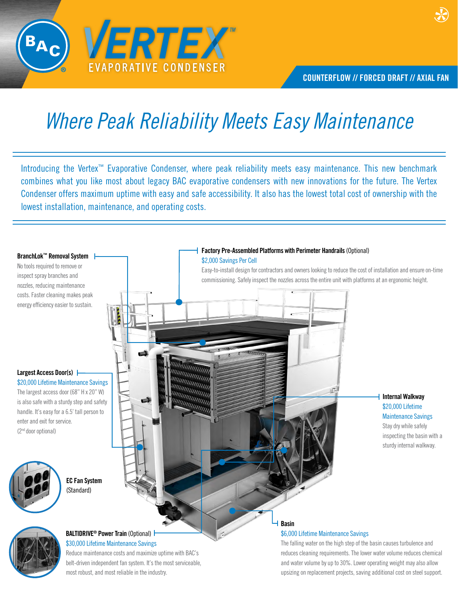

# *Where Peak Reliability Meets Easy Maintenance*

Introducing the Vertex™ Evaporative Condenser, where peak reliability meets easy maintenance. This new benchmark combines what you like most about legacy BAC evaporative condensers with new innovations for the future. The Vertex Condenser offers maximum uptime with easy and safe accessibility. It also has the lowest total cost of ownership with the lowest installation, maintenance, and operating costs.